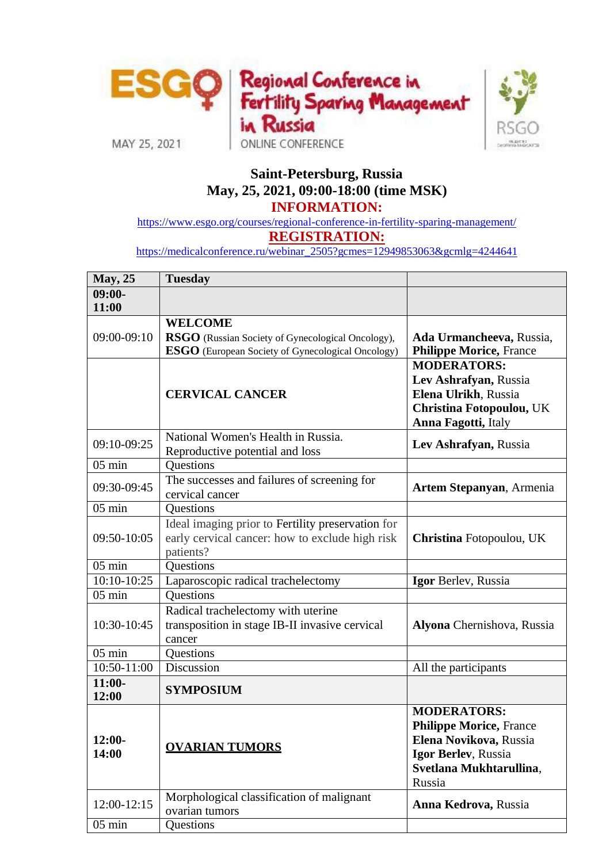

## **Saint-Petersburg, Russia May, 25, 2021, 09:00-18:00 (time MSK) INFORMATION:**

<https://www.esgo.org/courses/regional-conference-in-fertility-sparing-management/>

**REGISTRATION:**

[https://medicalconference.ru/webinar\\_2505?gcmes=12949853063&gcmlg=4244641](https://medicalconference.ru/webinar_2505?gcmes=12949853063&gcmlg=4244641)

| May, 25             | <b>Tuesday</b>                                                                                                                  |                                                                                                                                            |
|---------------------|---------------------------------------------------------------------------------------------------------------------------------|--------------------------------------------------------------------------------------------------------------------------------------------|
| $09:00-$<br>11:00   |                                                                                                                                 |                                                                                                                                            |
| 09:00-09:10         | <b>WELCOME</b><br>RSGO (Russian Society of Gynecological Oncology),<br><b>ESGO</b> (European Society of Gynecological Oncology) | Ada Urmancheeva, Russia,<br><b>Philippe Morice, France</b>                                                                                 |
|                     | <b>CERVICAL CANCER</b>                                                                                                          | <b>MODERATORS:</b><br>Lev Ashrafyan, Russia<br>Elena Ulrikh, Russia<br>Christina Fotopoulou, UK<br>Anna Fagotti, Italy                     |
| 09:10-09:25         | National Women's Health in Russia.<br>Reproductive potential and loss                                                           | Lev Ashrafyan, Russia                                                                                                                      |
| $05 \text{ min}$    | Questions                                                                                                                       |                                                                                                                                            |
| 09:30-09:45         | The successes and failures of screening for<br>cervical cancer                                                                  | Artem Stepanyan, Armenia                                                                                                                   |
| $05$ min            | Questions                                                                                                                       |                                                                                                                                            |
| 09:50-10:05         | Ideal imaging prior to Fertility preservation for<br>early cervical cancer: how to exclude high risk<br>patients?               | Christina Fotopoulou, UK                                                                                                                   |
| $05$ min            | Questions                                                                                                                       |                                                                                                                                            |
| 10:10-10:25         | Laparoscopic radical trachelectomy                                                                                              | Igor Berlev, Russia                                                                                                                        |
| $05$ min            | Questions                                                                                                                       |                                                                                                                                            |
| 10:30-10:45         | Radical trachelectomy with uterine<br>transposition in stage IB-II invasive cervical<br>cancer                                  | Alyona Chernishova, Russia                                                                                                                 |
| $05$ min            | Questions                                                                                                                       |                                                                                                                                            |
| $10:50 - 11:00$     | <b>Discussion</b>                                                                                                               | All the participants                                                                                                                       |
| $11:00-$<br>12:00   | <b>SYMPOSIUM</b>                                                                                                                |                                                                                                                                            |
| $12:00-$<br>14:00   | <b>OVARIAN TUMORS</b>                                                                                                           | <b>MODERATORS:</b><br><b>Philippe Morice, France</b><br>Elena Novikova, Russia<br>Igor Berlev, Russia<br>Svetlana Mukhtarullina,<br>Russia |
| 12:00-12:15         | Morphological classification of malignant<br>ovarian tumors                                                                     | Anna Kedrova, Russia                                                                                                                       |
| $\overline{0}5$ min | Questions                                                                                                                       |                                                                                                                                            |